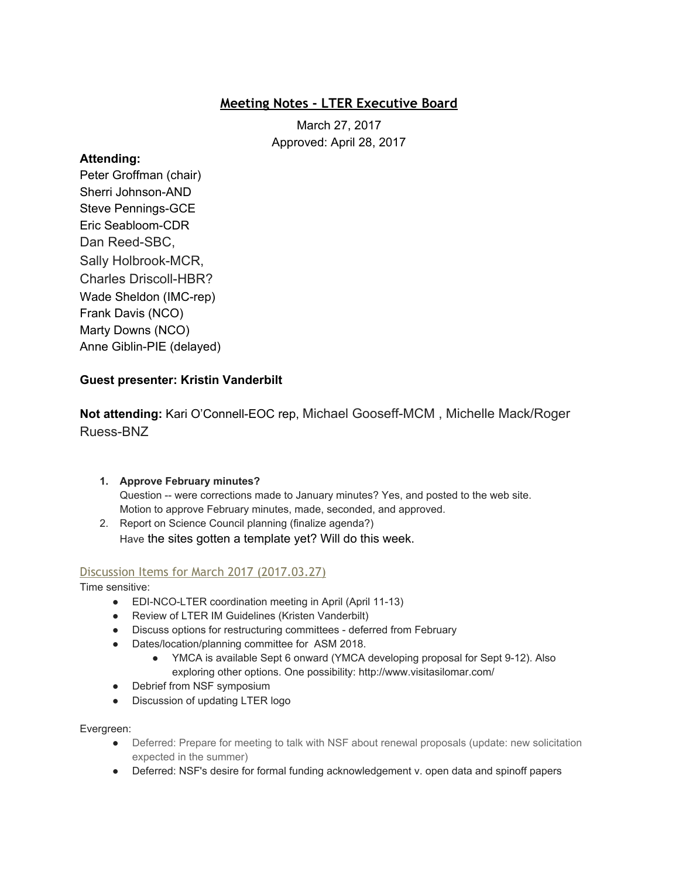# **Meeting Notes - LTER Executive Board**

March 27, 2017 Approved: April 28, 2017

### **Attending:**

Peter Groffman (chair) Sherri Johnson-AND Steve Pennings-GCE Eric Seabloom-CDR Dan Reed-SBC, Sally Holbrook-MCR, Charles Driscoll-HBR? Wade Sheldon (IMC-rep) Frank Davis (NCO) Marty Downs (NCO) Anne Giblin-PIE (delayed)

# **Guest presenter: Kristin Vanderbilt**

**Not attending:** Kari O'Connell-EOC rep, Michael Gooseff-MCM , Michelle Mack/Roger Ruess-BNZ

### **1. Approve February minutes?**

Question -- were corrections made to January minutes? Yes, and posted to the web site. Motion to approve February minutes, made, seconded, and approved.

2. Report on Science Council planning (finalize agenda?) Have the sites gotten a template yet? Will do this week.

## Discussion Items for March 2017 (2017.03.27)

Time sensitive:

- EDI-NCO-LTER coordination meeting in April (April 11-13)
- Review of LTER IM Guidelines (Kristen Vanderbilt)
- Discuss options for restructuring committees deferred from February
- Dates/location/planning committee for ASM 2018.
	- YMCA is available Sept 6 onward (YMCA developing proposal for Sept 9-12). Also exploring other options. One possibility: http://www.visitasilomar.com/
- Debrief from NSF symposium
- Discussion of updating LTER logo

#### Evergreen:

- Deferred: Prepare for meeting to talk with NSF about renewal proposals (update: new solicitation expected in the summer)
- Deferred: NSF's desire for formal funding acknowledgement v. open data and spinoff papers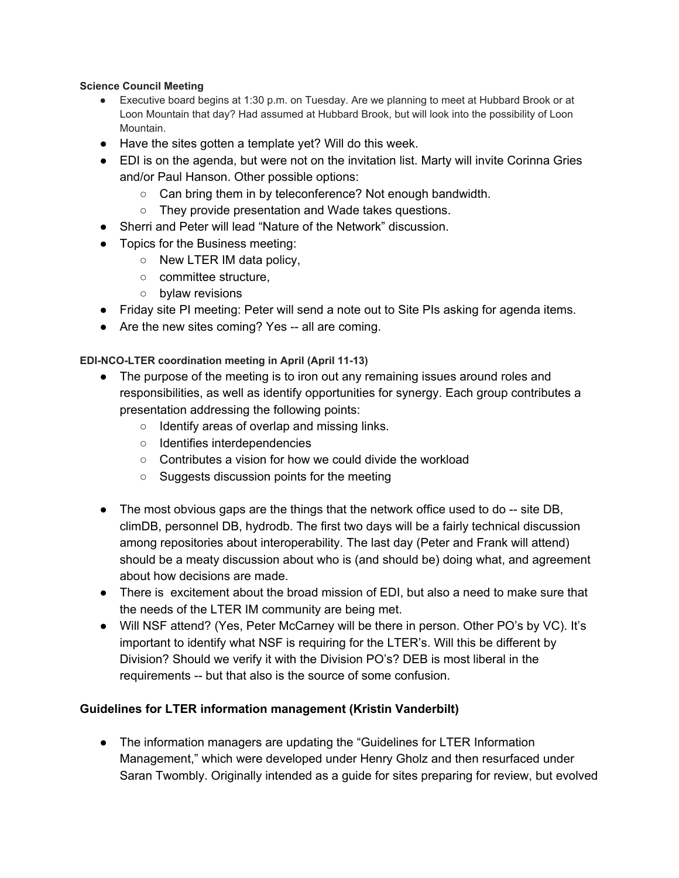#### **Science Council Meeting**

- Executive board begins at 1:30 p.m. on Tuesday. Are we planning to meet at Hubbard Brook or at Loon Mountain that day? Had assumed at Hubbard Brook, but will look into the possibility of Loon Mountain.
- Have the sites gotten a template yet? Will do this week.
- EDI is on the agenda, but were not on the invitation list. Marty will invite Corinna Gries and/or Paul Hanson. Other possible options:
	- Can bring them in by teleconference? Not enough bandwidth.
	- They provide presentation and Wade takes questions.
- Sherri and Peter will lead "Nature of the Network" discussion.
- Topics for the Business meeting:
	- $\circ$  New LTER IM data policy,
	- committee structure,
	- bylaw revisions
- Friday site PI meeting: Peter will send a note out to Site PIs asking for agenda items.
- Are the new sites coming? Yes -- all are coming.

**EDI-NCO-LTER coordination meeting in April (April 11-13)**

- The purpose of the meeting is to iron out any remaining issues around roles and responsibilities, as well as identify opportunities for synergy. Each group contributes a presentation addressing the following points:
	- Identify areas of overlap and missing links.
	- Identifies interdependencies
	- Contributes a vision for how we could divide the workload
	- Suggests discussion points for the meeting
- $\bullet$  The most obvious gaps are the things that the network office used to do  $-$  site DB, climDB, personnel DB, hydrodb. The first two days will be a fairly technical discussion among repositories about interoperability. The last day (Peter and Frank will attend) should be a meaty discussion about who is (and should be) doing what, and agreement about how decisions are made.
- There is excitement about the broad mission of EDI, but also a need to make sure that the needs of the LTER IM community are being met.
- Will NSF attend? (Yes, Peter McCarney will be there in person. Other PO's by VC). It's important to identify what NSF is requiring for the LTER's. Will this be different by Division? Should we verify it with the Division PO's? DEB is most liberal in the requirements -- but that also is the source of some confusion.

### **Guidelines for LTER information management (Kristin Vanderbilt)**

● The information managers are updating the "Guidelines for LTER Information Management," which were developed under Henry Gholz and then resurfaced under Saran Twombly. Originally intended as a guide for sites preparing for review, but evolved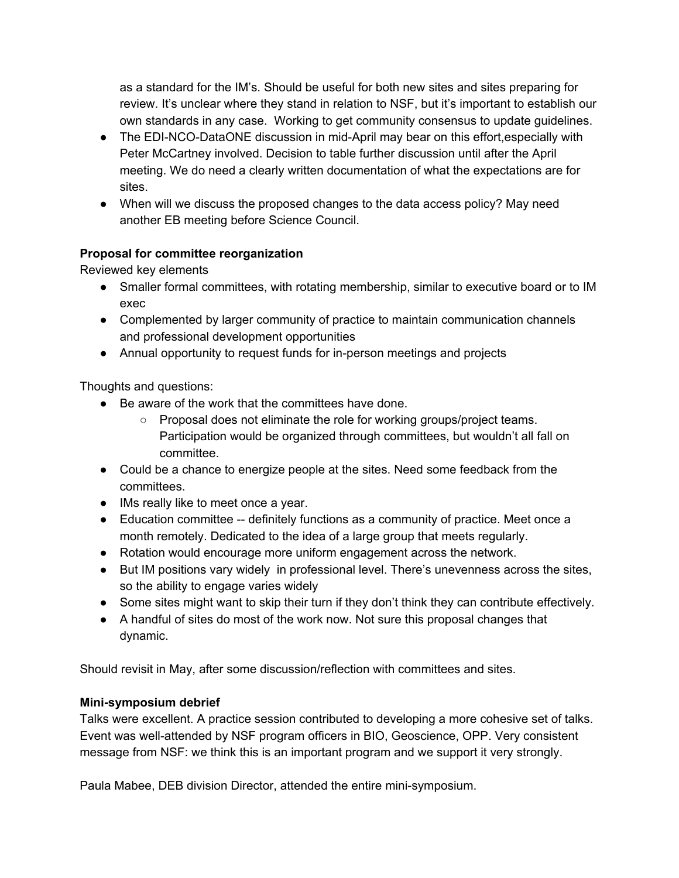as a standard for the IM's. Should be useful for both new sites and sites preparing for review. It's unclear where they stand in relation to NSF, but it's important to establish our own standards in any case. Working to get community consensus to update guidelines.

- The EDI-NCO-DataONE discussion in mid-April may bear on this effort, especially with Peter McCartney involved. Decision to table further discussion until after the April meeting. We do need a clearly written documentation of what the expectations are for sites.
- When will we discuss the proposed changes to the data access policy? May need another EB meeting before Science Council.

# **Proposal for committee reorganization**

Reviewed key elements

- Smaller formal committees, with rotating membership, similar to executive board or to IM exec
- Complemented by larger community of practice to maintain communication channels and professional development opportunities
- Annual opportunity to request funds for in-person meetings and projects

Thoughts and questions:

- Be aware of the work that the committees have done.
	- Proposal does not eliminate the role for working groups/project teams. Participation would be organized through committees, but wouldn't all fall on committee.
- Could be a chance to energize people at the sites. Need some feedback from the committees.
- IMs really like to meet once a year.
- Education committee -- definitely functions as a community of practice. Meet once a month remotely. Dedicated to the idea of a large group that meets regularly.
- Rotation would encourage more uniform engagement across the network.
- But IM positions vary widely in professional level. There's unevenness across the sites, so the ability to engage varies widely
- Some sites might want to skip their turn if they don't think they can contribute effectively.
- A handful of sites do most of the work now. Not sure this proposal changes that dynamic.

Should revisit in May, after some discussion/reflection with committees and sites.

## **Mini-symposium debrief**

Talks were excellent. A practice session contributed to developing a more cohesive set of talks. Event was well-attended by NSF program officers in BIO, Geoscience, OPP. Very consistent message from NSF: we think this is an important program and we support it very strongly.

Paula Mabee, DEB division Director, attended the entire mini-symposium.